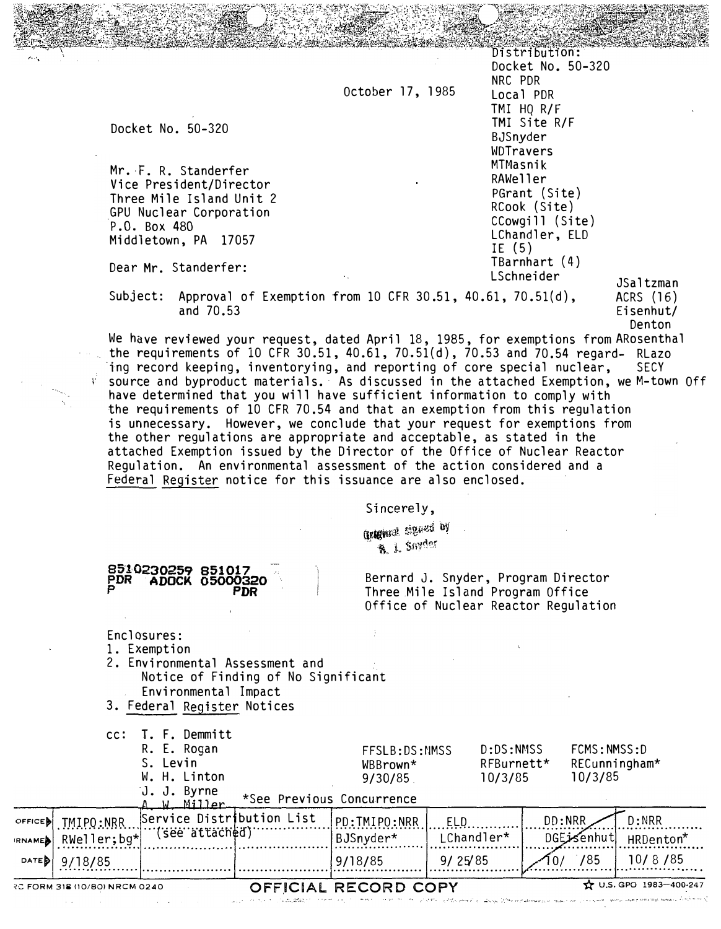October 17, 1985

Docket No. 50-320

 $-$ 

Mr. F. R. Standerfer Vice President/Director Three Mile Island Unit 2 GPU Nuclear Corporation P.O. Box 480 Middletown, PA 17057

Dear Mr. Standerfer:

8510230259 8510<br>PDR ADOCK 0500

PDR ADOCK 05000320 P PDR

Distribution: Docket No. 50-320 NRC PDR Local PDR TMI HQ R/F TMI Site R/F BJSnyder WDTravers MTMasnik RAWeller PGrant (Site) RCook (Site) CCowgill (Site) LChandler, ELD IE (5) TBarnhart (4) LSchneider

JSaltzman ACRS (16) Eisenhut/ Denton

Subject: Approval of Exemption from 10 CFR 30.51, 40.61, 70.51(d), and 70.53

We have reviewed your request, dated April 18, 1985, for exemptions from ARosenthal the requirements of 10 CFR 30.51, 40.61, 70.51(d), 70.53 and 70.54 regard- RLazo ing record keeping, inventorying, and reporting of core special nuclear, SECY  $\mathbb {V}$  source and byproduct materials. As discussed in the attached Exemption, we M-town <code>Off</code> have determined that you will have sufficient information to comply with the requirements of 10 CFR 70.54 and that an exemption from this regulation is unnecessary. However, we conclude that your request for exemptions from the other regulations are appropriate and acceptable, as stated in the attached Exemption issued by the Director of the Office of Nuclear Reactor Regulation. An environmental assessment of the action considered and a Federal Register notice for this issuance are also enclosed.

Sincerely.

Graguant cinema oy **B.** J. Snyder

Bernard J. Snyder, Program Director Three Mile Island Program Office Office of Nuclear Reactor Regulation

Enclosures: 1. Exemption 2. Environmental Assessment and Notice of Finding of No Significant Environmental Impact 3. Federal Register Notices cc: T. F. Demmitt R. E. Rogan S. Levin W. H. Linton J. J. Byrne FFSLB: DS: NMSS WBBrown\* 9/30/85. \*See Previous Concurrence D:DS:NMSS RFBurnett\* 10/3/85 FCMS:NMSS:D RECunningham\* 10/3/85 OFFICE**b** TMIPO:NRR Service Distribution List PD:TMIPO:NRR ELD DI:NRR D:NRR D:NRR D:NRR D:NRR<br>BJSnyder\* LChandler\* DGEJSenhut HRDen **IRNAME** RNAME• • R·w�; ·;��-�b'�� ·· -rsee" 1ina·cn ·a·r ................. i:is�·;,ci�·�:; · .. ··· ···L\_·ch·��d·;��:; ·· ..... o.GE :··��h�·i ···HRD·��t��\* .. . .. . . . . . . . . . . . . . . . . . � .. . ... � . . . . . . . . . . . . .. . . . . . . . . . . . . . . . . . . . . . . . ... . .... .. ... . . .. DAT<sup>E</sup> � 9/18/85 9/18/85 9/ 25'85 /85 10/ 8 /85 . ......... .......... ...................... ····················· ····················· ····················· ················ ... ............... ... .. . REFORM 318 (10/80) NRCM 0240 **OFFICIAL RECORD COPY**  $\hat{\mathbf{x}}$  U.S. GPO 1983-400-247  $\frac{1}{2}$ ... ... ... ...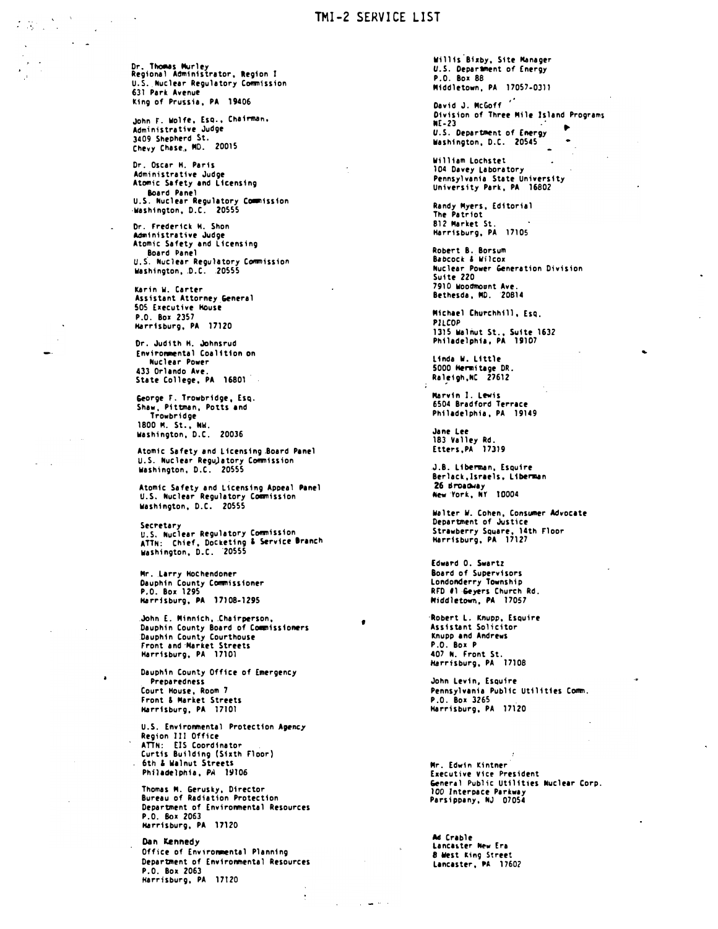## TMI -2 SERVICE LIST

Dr. Thomas Murley Regional Administrator, Region I<br>U.S. Nuclear Regulatory Commission 631 Park Avenue king of Prussia, PA 19406

John t. wolfe, Esq., Chairman, Administrative Judge 3409 Shepherd St. Chevy Chase, MD. 20015

Dr. Oscar H. Paris Administrative Judge Atomic Safety end Licensing Board Panel U.S. Nuclear Regulatory Commission -washington, D.C. 20555

Or. frederick H. Shon Administrative Judge Atomic Safety end licensing Board Panel u.s· . Nuclear Reguhtory Commission Washington, D.C. 20555

Karin W. Carter Assistant Attorney General SOS Executive Houst P.O. Box 2357 Harrisburg, PA 17120

Or. Judith H. Johnsrud Enviro�ntal Coalition on Nuclear Power 433 Orlando Ave. State College, PA 16801

&forge F. Trowbridge, Esq. Shaw, Pittman, Potts end Trowbridge 1800 M. St., NW.<br>Washington, D.C. 20036

Atomic Sefety end Licensing Board Penel u.S. Nuclear Regu)etory Commission washington, D.C. 20555

Atomic Safety and L icensing Apoeal Panel u.S. Nuclear Regulatory Commission washington, D.C. 20555

Secretary<br>U.S. Nuclear Regulatory Commission<br>ATTN: Chief, Docketing & Service Branch washington, D.C. ·20555

Mr. Larry Hochendoner Dauphin County Commissioner P.O. Box 1295 Harrisburg, PA 17108-1295

.John E. Minnich, .Chairperson, Dauphin County Board of C�issioners Dauphin County Courthouse front and·Hartet Streets Harrisburg, PA 17101

Dauphin County Office of Emergency Preparedness Court House, Room 7 front & Market Streets Harrisburg, PA 17101

U.S. Environmental Protection Apency Region III Office<br>ATTN: EIS Coordinator<br>Curtis Building (Sixth Floor) 6th & Walnut Streets Philadelphia, PA 19106

Thomas M. Gerusky, Director Bureau of Radiation Protection Department of Environmental Resources P.O. Box 2063 Harrisburg, PA 17120

Dan Kennedy Office of Environmental Planning Department of Environmental Resources P.O. Box 2063 Harrisburg, PA 17120

Willis Bixby, Site Manager U.S. Department of Energy P.O. Box 88 Middletown, PA 17057-0311

David J. McGoff<sup>"</sup> Division of Three Mile Island Programs<br>NF-23 NE-23 · � U.S. Department of Energy Washington, D.C. 20545

William Lochstet 104 Devey Laboratory Pennsylvania State University University Park, PA 16802

Randy Myers, Editorial The Patriot 812 Market St. Harrisburg, PA 17105

Robert B. Borsum Babcock & Wilcox Nuclear Power Generation Division Suite 220 7910 wooamount Ave. Bethesda, MD. 20814

...

Michael Churchhill, EsQ. PZLCOP 1315 Walnut St., Suite 1632<br>Philadelphia, PA 19107

linda W. Little 5000 Hermitage DR.<br>Raleigh,NC 27612

Marvin I. Lewis 6504 Bradford Terrace Philadelphia, PA 19149

Jane let 183 Valley Rd. Etters,PA 17319

J.B. Liberman, Esquire Berlack, Israels, Liberman 26 Broadway New ·rork, NY 10004

W•lter W. Cohen, Consumer Advocate Department of Justice Strawberry Square, 14th Floor Harrisburg, PA 17127

Edward 0. Swartz Board of Supervisors Londonderry Township RFD #1 <del>G</del>eyers Church Rd.<br>Middletown, PA 17057

·Robert L. Knupp, Esquire Assistant Solicitor Knupp end Andrews P.O. Box P 407 N. Front St. Harrisburg, PA 17108

•

John Levin, Esquire Pennsylvania Public Utilities tomm. P.O. Box 3265 Harrisburg, PA 17120

Mr. Edwin Kintner· Executive Vier President &rneral Public Utilities lluclear torp. 100 lnteroace Parkway Parsippany, NJ 07054

Ad Crable Lancaster New Era 8 West king Street Lancaster, PA 1760?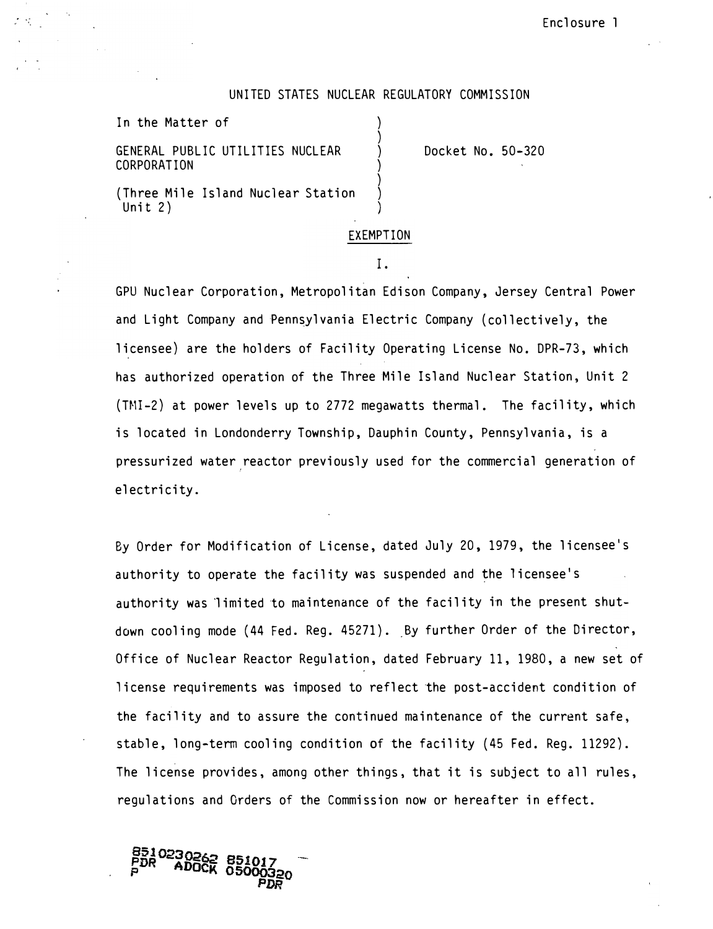#### UNITED STATES NUCLEAR REGULATORY COMMISSION

) ) ) ) ) ) )

In the Matter of

GENERAL PUBLIC UTILITIES NUCLEAR CORPORATION

Docket No. 50-320

(Three Mile Island Nuclear Station Unit 2)

#### EXEMPTION

#### I.

GPU Nuclear Corporation, Metropolitan Edison Company, Jersey Central Power and Light Company and Pennsylvania Electric Company (collectively, the licensee) are the holders of Facility Operating License No. DPR-73, which has authorized operation of the Three Mile Island Nuclear Station, Unit 2 (T�ll-2) at power levels up to 2772 megawatts thermal. The facility, which is located in Londonderry Township, Dauphin County, Pennsylvania, is a pressurized water reactor previously used for the commercial generation of I electricity.

By Order for Modification of License, dated July 20, 1979, the licensee's authority to operate the facility was suspended and the licensee's authority was limited to maintenance of the facility in the present shutdown cooling mode (44 Fed. Reg. 45271). By further Order of the Director, Office of Nuclear Reactor Regulation, dated February 11, 1980, a new set of license requirements was imposed to reflect the post-accident condition of the facility and to assure the continued maintenance of the current safe, stable, long-term cooling condition of the facility (45 Fed. Reg. 11292). The license provides, among other things, that it is subject to all rules, regulations and Orders of the Commission now or hereafter in effect.

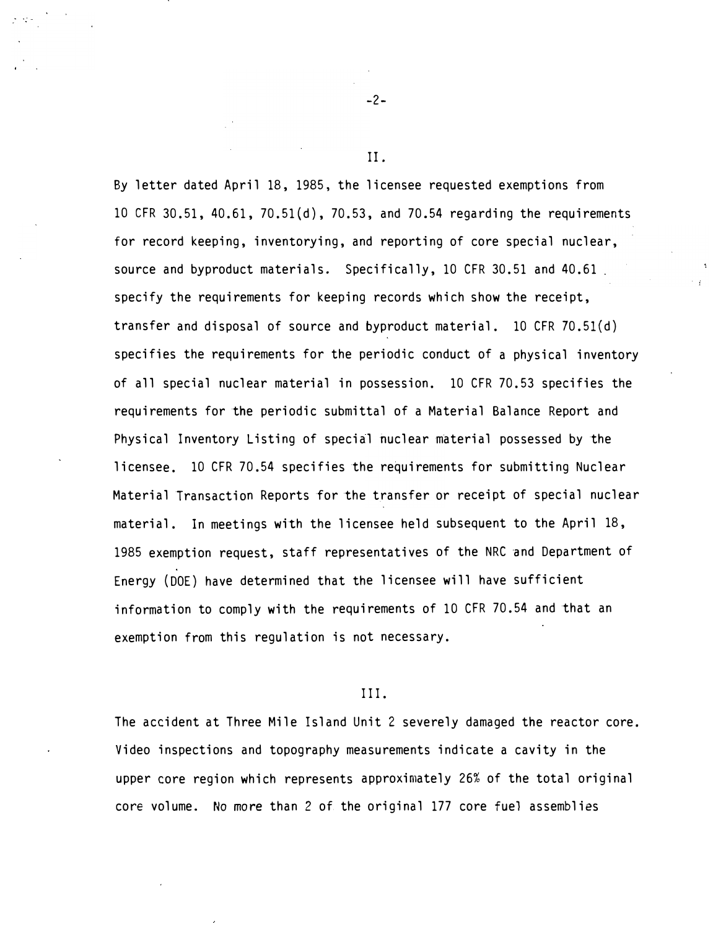By letter dated April 18, 1985, the licensee requested exemptions from 10 CFR 30. 51, 40. 61, 70. 51(d), 70. 53, and 70.54 regarding the requirements for record keeping, inventorying, and reporting of core special nuclear, source and byproduct materials. Specifically, 10 CFR 30.51 and 40.61. specify the requirements for keeping records which show the receipt, transfer and disposal of source and byproduct material. 10 CFR 70. 5l(d) specifies the requirements for the periodic conduct of a physical inventory of all special nuclear material in possession. 10 CFR 70. 53 specifies the requirements for the periodic submittal of a Material Balance Report and Physical Inventory Listing of special nuclear material possessed by the licensee. 10 CFR 70. 54 specifies the requirements for submitting Nuclear Material Transaction Reports for the transfer or receipt of special nuclear material. In meetings with the licensee held subsequent to the April 18, 1985 exemption request, staff representatives of the NRC and Department of Energy (DOE) have determined that the licensee will have sufficient information to comply with the requirements of 10 CFR 70.54 and that an exemption from this regulation is not necessary.

#### III.

The accident at Three Mile Island Unit 2 severely damaged the reactor core. Video inspections and topography measurements indicate a cavity in the upper core region which represents approximately 26% of the total original core volume. No more than 2 of the original 177 core fuel assemblies

-2-

II.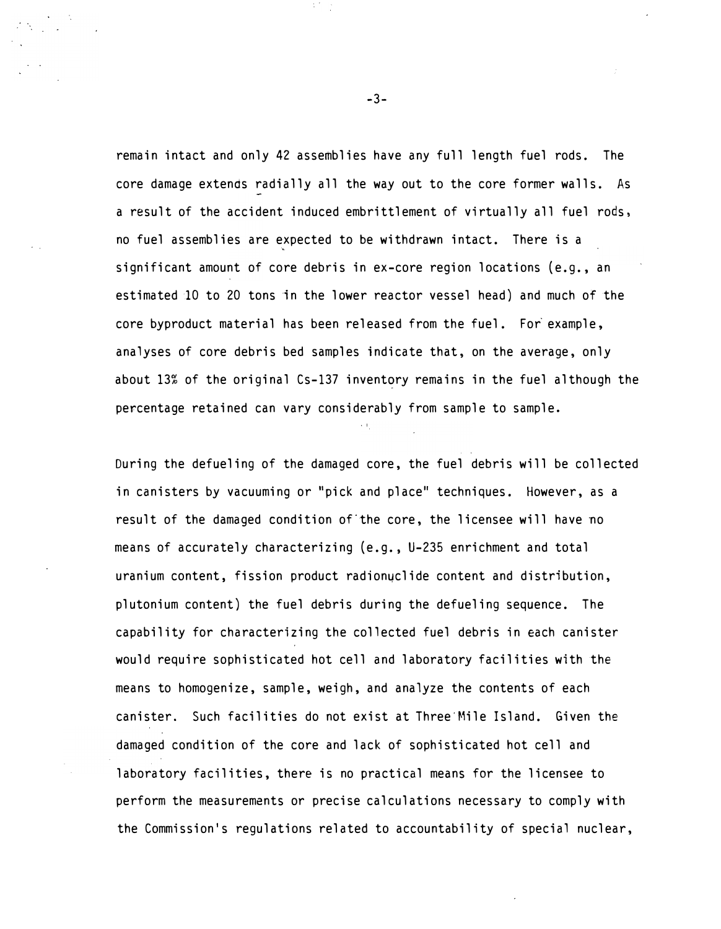remain intact and only 42 assemblies have any full length fuel rods. The core damage extends radially all the way out to the core former walls. As a result of the accident induced embrittlement of virtually all fuel rods, no fuel assemblies are expected to be withdrawn intact. There is a � significant amount of core debris in ex-core region locations (e.g., an estimated 10 to 20 tons in the lower reactor vessel head) and much of the core byproduct material has been released from the fuel. For example, analyses of core debris bed samples indicate that, on the average, only about 13% of the original Cs-137 inventory remains in the fuel although the percentage retained can vary considerably from sample to sample.

During the defueling of the damaged core, the fuel debris will be collected in canisters by vacuuming or "pick and place" techniques. However, as a result of the damaged condition of the core, the licensee will have no means of accurately characterizing (e.g., U-235 enrichment and total uranium content, fission product radionuclide content and distribution, plutonium content) the fuel debris during the defueling sequence. The capability for characterizing the collected fuel debris in each canister would require sophisticated hot cell and laboratory facilities with the means to homogenize, sample, weigh, and analyze the contents of each canister. Such facilities do not exist at Three'Mile Island. Given the damaged condition of the core and lack of sophisticated hot cell and laboratory facilities, there is no practical means for the licensee to perform the measurements or precise calculations necessary to comply with the Commission's regulations related to accountability of special nuclear,

-3-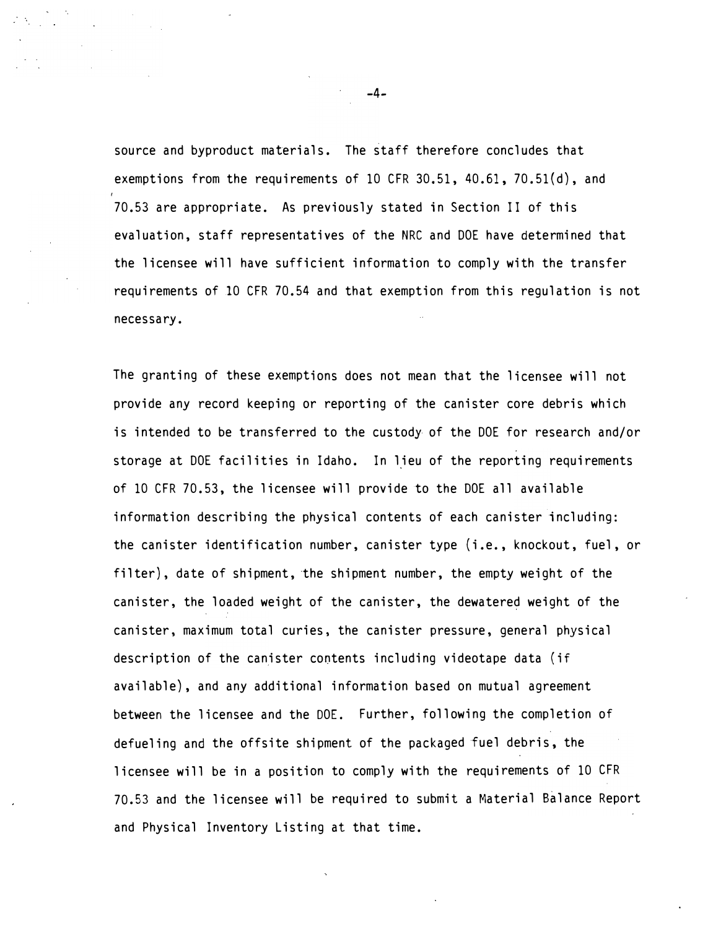source and byproduct materials. The staff therefore concludes that exemptions from the requirements of 10 CFR 30.51, 40.61, 70.51(d), and 70. 53 are appropriate. As previously stated in Section II of this evaluation, staff representatives of the NRC and DOE have determined that the licensee will have sufficient information to comply with the transfer requirements of 10 CFR 70. 54 and that exemption from this regulation is not necessary.

The granting of these exemptions does not mean that the licensee will not provide any record keeping or reporting of the canister core debris which is intended to be transferred to the custody of the DOE for research and/or storage at DOE facilities in Idaho. In lieu of the reporting requirements of 10 CFR 70. 53, the licensee will provide to the DOE all available information describing the physical contents of each canister including: the canister identification number, canister type (i.e., knockout, fuel, or filter), date of shipment, the shipment number, the empty weight of the canister, the loaded weight of the canister, the dewatered weight of the canister, maximum total curies, the canister pressure, general physical description of the canister contents including videotape data (if available) , and any additional information based on mutual agreement between the licensee and the DOE. Further, following the completion of defueling and the offsite shipment of the packaged fuel debris, the licensee will be in a position to comply with the requirements of 10 CFR 70. 53 and the licensee will be required to submit a Material Balance Report and Physical Inventory Listing at that time.

-4-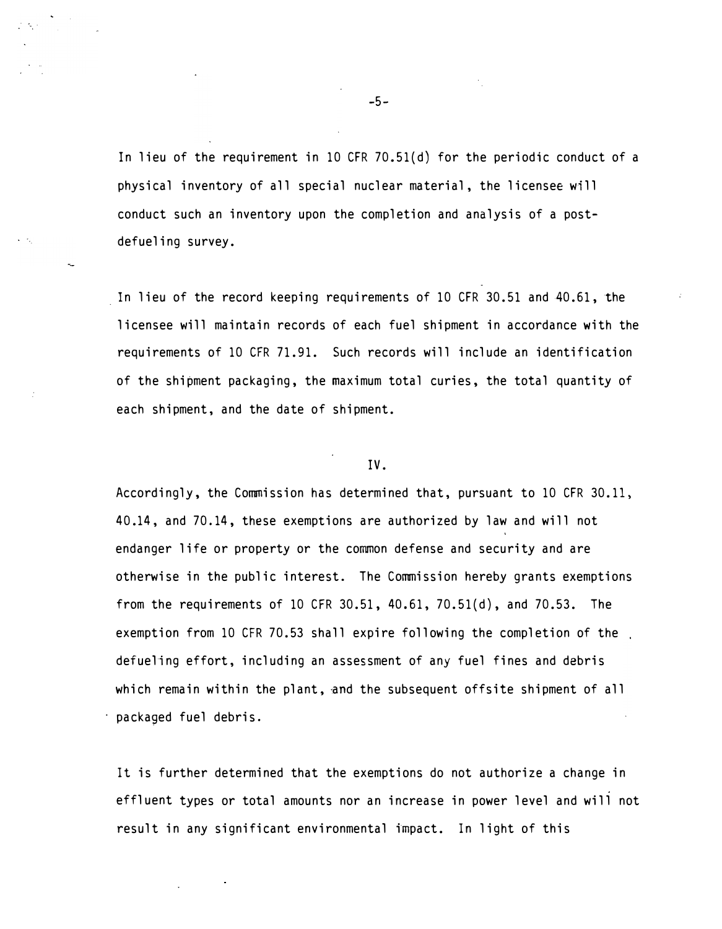In lieu of the requirement in 10 CFR 70.51(d) for the periodic conduct of a physical inventory of all special nuclear material, the licensee will conduct such an inventory upon the completion and analysis of a postdefueling survey.

In lieu of the record keeping requirements of 10 CFR 30.51 and 40.61, the licensee will maintain records of each fuel shipment in accordance with the requirements of 10 CFR 71. 91. Such records will include an identification of the shipment packaging, the maximum total curies, the total quantity of each shipment, and the date of shipment.

#### IV.

Accordingly, the Commission has determined that, pursuant to 10 CFR 30. 11, 40.14, and 70.14, these exemptions are authorized by law and will not endanger life or property or the common defense and security and are otherwise in the public interest. The Commission hereby grants exemptions from the requirements of 10 CFR 30.51, 40.61, 70.51(d), and 70.53. The exemption from 10 CFR 70. 53 shall expire following the completion of the defueling effort, including an assessment of any fuel fines and debris which remain within the plant, and the subsequent offsite shipment of all packaged fuel debris.

It is further determined that the exemptions do not authorize a change in effluent types or total amounts nor an increase in power level and will not result in any significant environmental impact. In light of this

-5-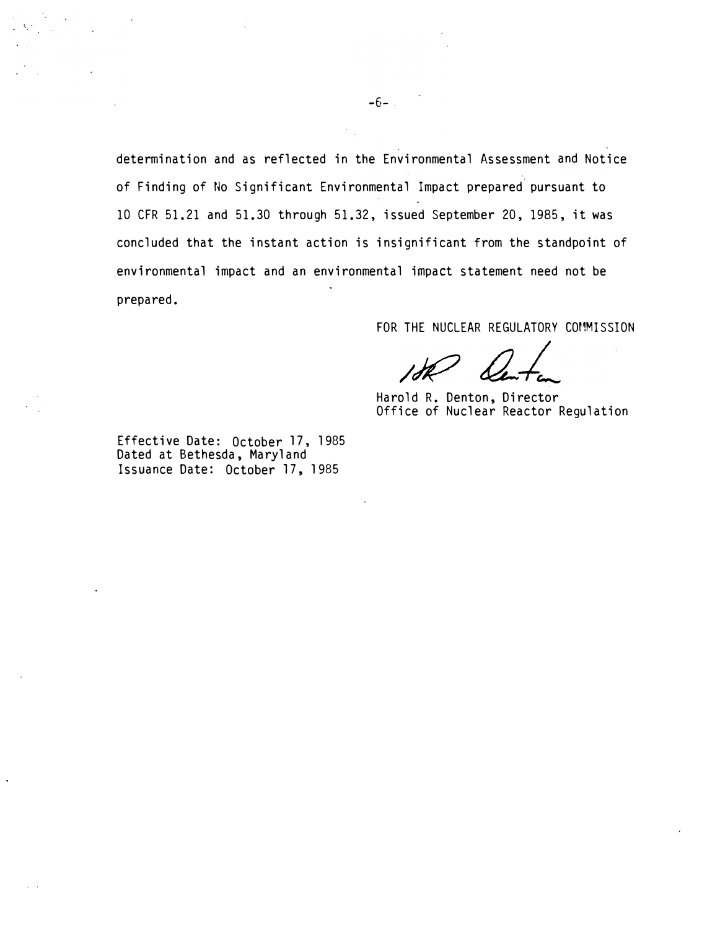determination and as reflected in the Environmental Assessment and Notice of Finding of No Significant Environmental Impact prepared pursuant to 10 CFR 51.21 and 51.30 through 51.32, issued September 20, 1985, it was concluded that the instant action is insignificant from the standpoint of environmental impact and an environmental impact statement need not be prepared.

FOR THE NUCLEAR REGULATORY COMMISSION

Harold R. Denton, Director Office of Nuclear Reactor Regulation

Effective Date: October 17, 1985 Dated at Bethesda, Maryland Issuance Date: October 17, 1985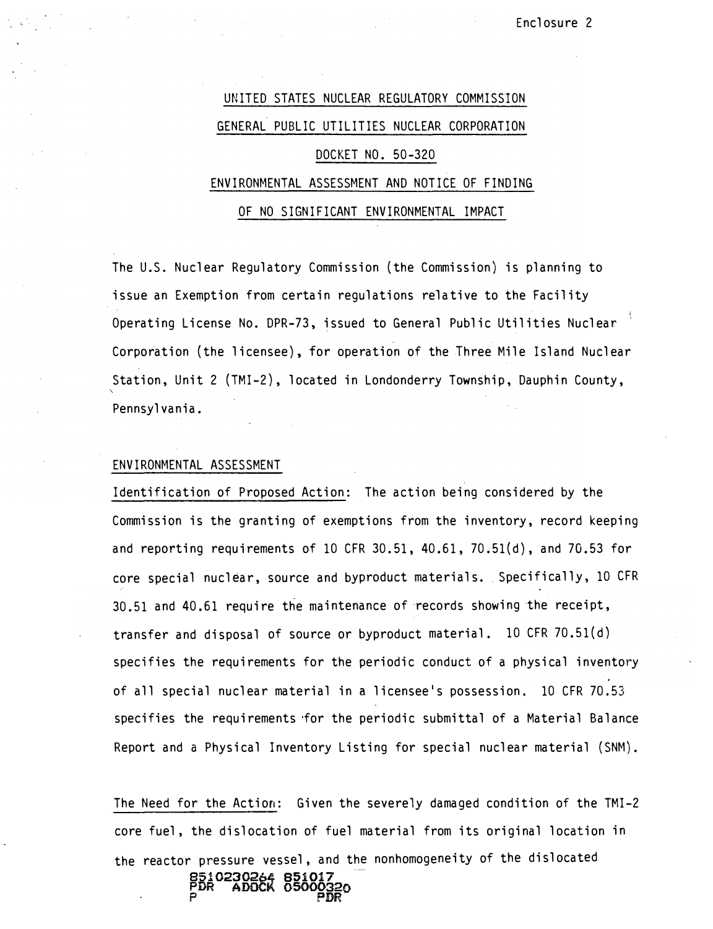# UNITED STATES NUCLEAR REGULATORY COMMISS10N GENERAL PUBLIC UTILITIES NUCLEAR CORPORATION DOCKET NO. 50-320 ENVIRONMENTAL ASSESSMENT AND NOTICE OF FINDING OF NO SIGNIFICANT ENVIRONMENTAL IMPACT

The U.S. Nuclear Requlatory Commission (the Commission) is planning to issue an Exemption from certain regulations relative to the Facility Operating License No. DPR-73, issued to General Public Utilities Nuclear Corporation (the licensee), for operation of the Three Mile Island Nuclear Station, Unit 2 (TMI-2), located in Londonderry Township, Dauphin County, Pennsylvania.

### ENVIRONMENTAL ASSESSMENT

Identification of Proposed Action: The action being considered by the Commission is the granting of exemptions from the inventory, record keeping and reporting requirements of 10 CFR  $30.51$ ,  $40.61$ ,  $70.51(d)$ , and  $70.53$  for core special nuclear, source and byproduct materials. Specifically, 10 CFR 30.51 and 40. 61 require the maintenance of records showing the receipt, transfer and disposal of source or byproduct material. 10 CFR 70. 51(d) specifies the requirements for the periodic conduct of a physical inventory of all special nuclear material in a licensee's possession. 10 CFR 70.53 specifies the requirements for the periodic submittal of a Material Balance Report and a Physical Inventory Listing for special nuclear material (SNM).

The Need for the Action: Given the severely damaged condition of the TMI-2 core fuel, the dislocation of fuel material from its original location in the reactor pressure vessel, and the nonhomogeneity of the dislocated 8510230264 851017

PDR ADOCK 05000320 P PDR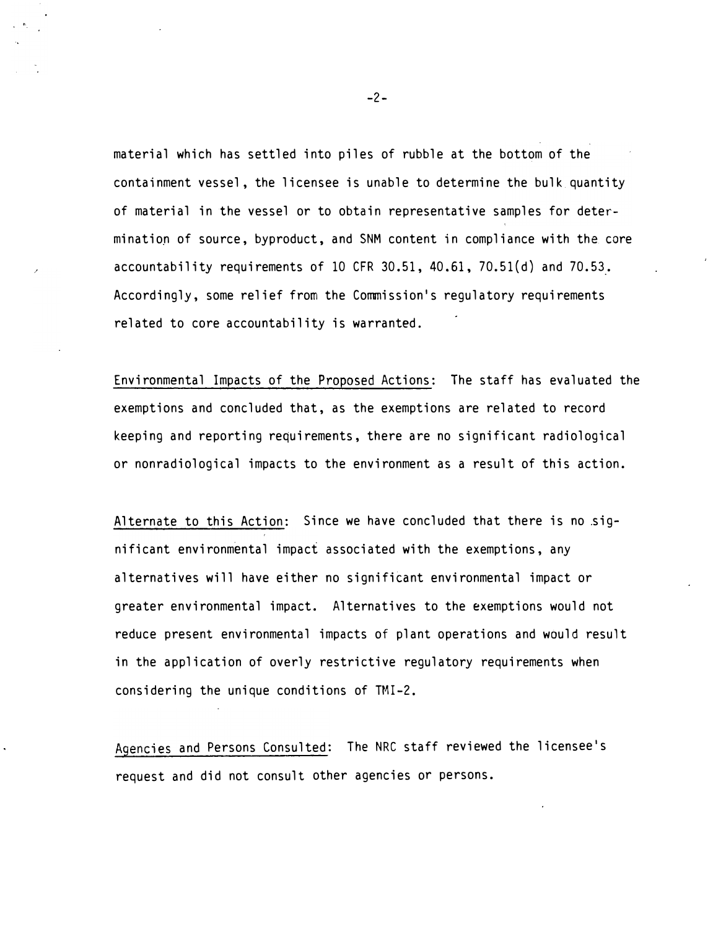material which has settled into piles of rubble at the bottom of the containment vessel, the licensee is unable to determine the bulk quantity of material in the vessel or to obtain representative samples for determination of source, byproduct, and SNM content in compliance with the core accountability requirements of 10 CFR  $30.51$ ,  $40.61$ ,  $70.51(d)$  and  $70.53$ . Accordingly, some relief from the Commission's regulatory requirements related to core accountability is warranted.

Environmental Impacts of the Proposed Actions: The staff has evaluated the exemptions and concluded that, as the exemptions are related to record keeping and reporting requirements, there are no significant radiological or nonradiological impacts to the environment as a result of this action.

Alternate to this Action: Since we have concluded that there is no significant environmental impact associated with the exemptions, any alternatives will have either no significant environmental impact or greater environmental impact. Alternatives to the exemptions would not reduce present environmental impacts of plant operations and would result in the application of overly restrictive regulatory requirements when considering the unique conditions of TMI-2.

Agencies and Persons Consulted: The NRC staff reviewed the licensee's request and did not consult other agencies or persons.

-2-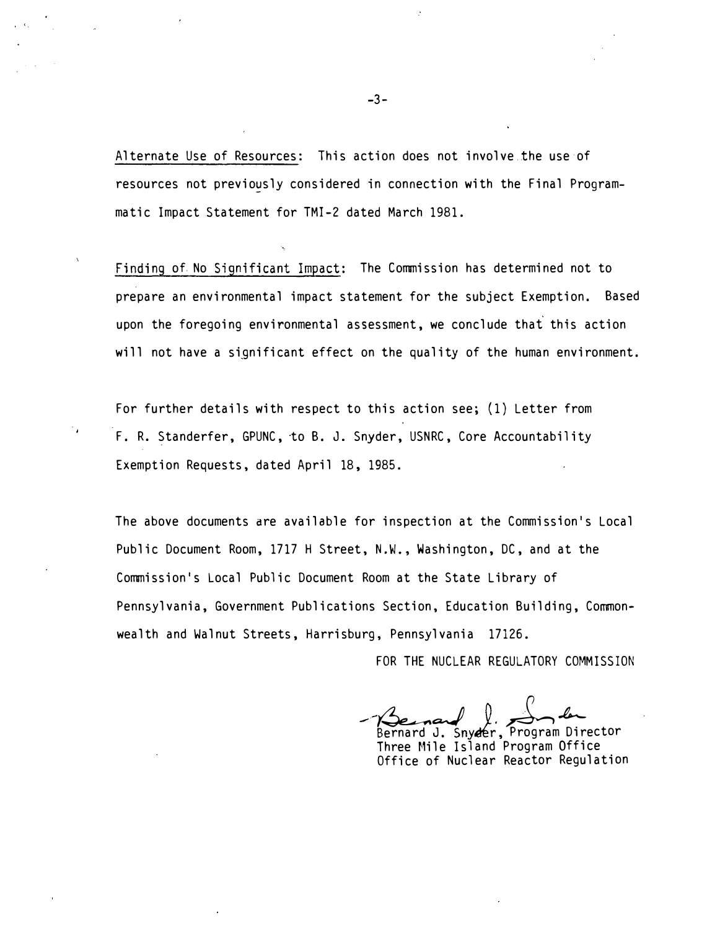Alternate Use of Resources: This action does not involve.the use of resources not previously considered in connection with the Final Programmatic Impact Statement for TMI-2 dated March 1981.

Finding of No Significant Impact: The Commission has determined not to prepare an environmental impact statement for the subject Exemption. Based upon the foregoing environmental assessment, we conclude that this action will not have a significant effect on the quality of the human environment.

For further details with respect to this action see; (1) Letter from F. R. Standerfer, GPUNC, to B. J. Snyder, USNRC, Core Accountability Exemption Requests, dated April 18, 1985.

The above documents are available for inspection at the Commission's Local Public Document Room, 1717 H Street, N.W., Washington, DC, and at the Commission's Local Public Document Room at the State Library of Pennsylvania, Government Publications Section, Education Building, Commonwealth and Walnut Streets, Harrisburg, Pennsylvania 17126.

FOR THE NUCLEAR REGULATORY COMMISSION

-Benauf J. Sn. Bernard J. Snyder, Program Director

Three Mile Island Program Office Office of Nuclear Reactor Regulation

. '·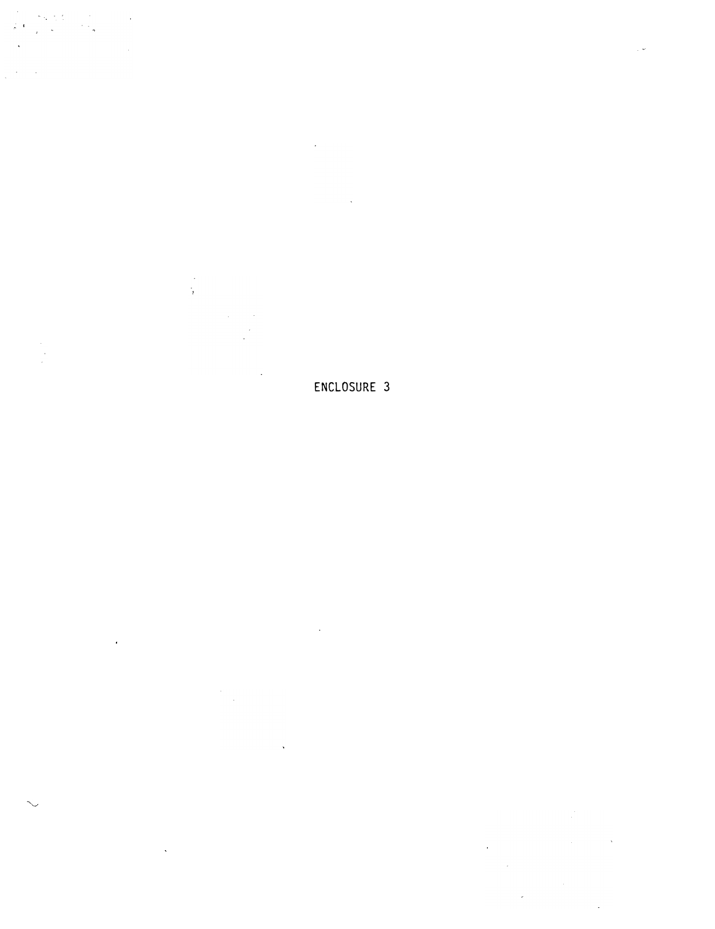. .

i.<br>B

ENCLOSURE 3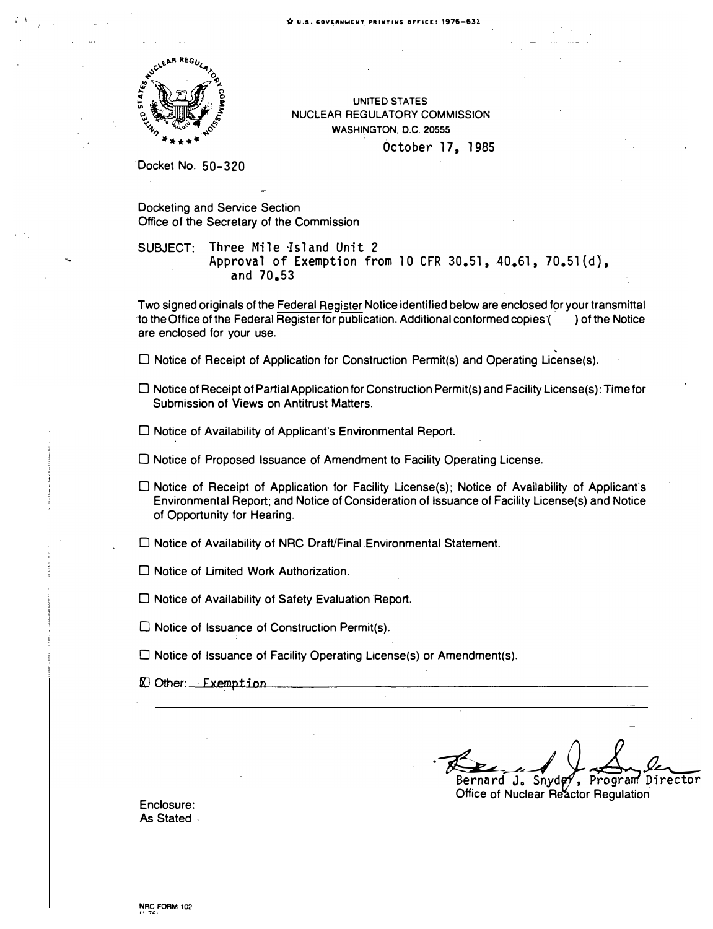

UNITED STATES NUCLEAR REGULATORY COMMISSION WASHINGTON, D.C. 20555 October 17, 1985

Docket No. 50-320

Docketing and Service Section Office of the Secretary of the Commission

SUBJECT: Three Mile 1sland Unit 2 Approval of Exemption from 10 CFR  $30.51$ ,  $40.61$ ,  $70.51(d)$ , and 70.53

Two signed originals of the Federal Register Notice identified below are enclosed for your transmittal to the Office of the Federal Register for publication. Additional conformed copies'( ) of the Notice are enclosed for your use.

 $\square$  Notice of Receipt of Application for Construction Permit(s) and Operating License(s).

- $\Box$  Notice of Receipt of Partial Application for Construction Permit(s) and Facility License(s): Time for Submission of Views on Antitrust Matters.
- $\Box$  Notice of Availability of Applicant's Environmental Report.
- $\Box$  Notice of Proposed Issuance of Amendment to Facility Operating License.
- $\square$  Notice of Receipt of Application for Facility License(s); Notice of Availability of Applicant's Environmental Report; and Notice of Consideration of Issuance of Facility License(s) and Notice of Opportunity for Hearing.
- $\square$  Notice of Availability of NRC Draft/Final Environmental Statement.
- $\Box$  Notice of Limited Work Authorization.
- $\Box$  Notice of Availability of Safety Evaluation Report.
- $\square$  Notice of Issuance of Construction Permit(s).
- $\Box$  Notice of Issuance of Facility Operating License(s) or Amendment(s).
- $\mathbb{Z}$  Other:  $\mathbb{Z}$  Exemption

Bernard J. Snyder, Program Director Bernard J. Snydey, Program Director

Office of Nuclear Reactor Regulation

Enclosure: As Stated .